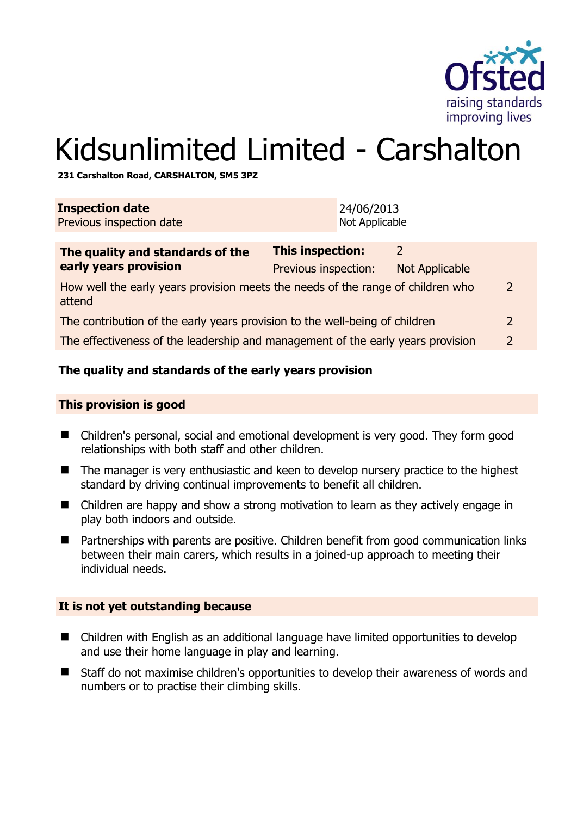

# Kidsunlimited Limited - Carshalton

**231 Carshalton Road, CARSHALTON, SM5 3PZ** 

| <b>Inspection date</b><br>Previous inspection date                                        |                                          | 24/06/2013<br>Not Applicable |                            |  |
|-------------------------------------------------------------------------------------------|------------------------------------------|------------------------------|----------------------------|--|
| The quality and standards of the<br>early years provision                                 | This inspection:<br>Previous inspection: |                              | 2<br><b>Not Applicable</b> |  |
| How well the early years provision meets the needs of the range of children who<br>attend |                                          |                              |                            |  |
| The contribution of the early years provision to the well-being of children               |                                          |                              |                            |  |
| The effectiveness of the leadership and management of the early years provision           |                                          |                              |                            |  |
|                                                                                           |                                          |                              |                            |  |

# **The quality and standards of the early years provision**

#### **This provision is good**

- Children's personal, social and emotional development is very good. They form good relationships with both staff and other children.
- The manager is very enthusiastic and keen to develop nursery practice to the highest standard by driving continual improvements to benefit all children.
- Children are happy and show a strong motivation to learn as they actively engage in play both indoors and outside.
- Partnerships with parents are positive. Children benefit from good communication links between their main carers, which results in a joined-up approach to meeting their individual needs.

#### **It is not yet outstanding because**

- Children with English as an additional language have limited opportunities to develop and use their home language in play and learning.
- Staff do not maximise children's opportunities to develop their awareness of words and numbers or to practise their climbing skills.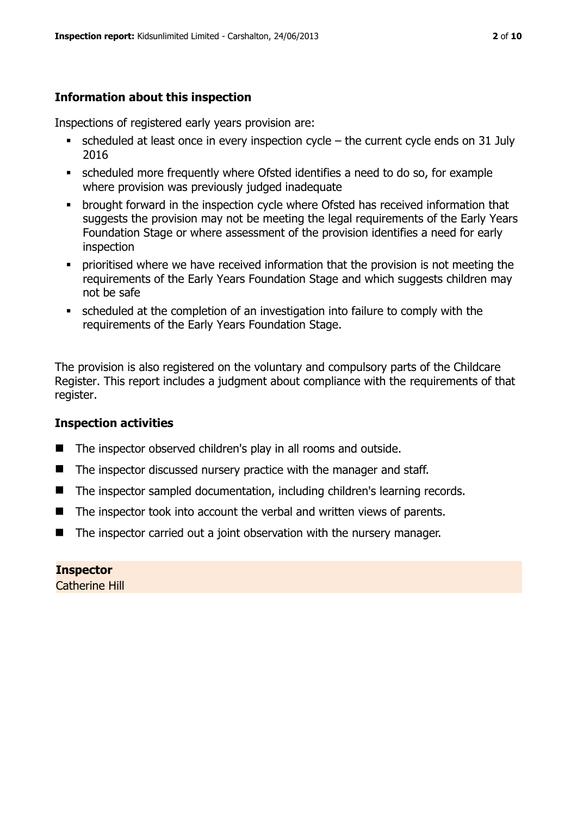# **Information about this inspection**

Inspections of registered early years provision are:

- scheduled at least once in every inspection cycle the current cycle ends on 31 July 2016
- scheduled more frequently where Ofsted identifies a need to do so, for example where provision was previously judged inadequate
- **•** brought forward in the inspection cycle where Ofsted has received information that suggests the provision may not be meeting the legal requirements of the Early Years Foundation Stage or where assessment of the provision identifies a need for early inspection
- **•** prioritised where we have received information that the provision is not meeting the requirements of the Early Years Foundation Stage and which suggests children may not be safe
- scheduled at the completion of an investigation into failure to comply with the requirements of the Early Years Foundation Stage.

The provision is also registered on the voluntary and compulsory parts of the Childcare Register. This report includes a judgment about compliance with the requirements of that register.

# **Inspection activities**

- The inspector observed children's play in all rooms and outside.
- $\blacksquare$  The inspector discussed nursery practice with the manager and staff.
- The inspector sampled documentation, including children's learning records.
- $\blacksquare$  The inspector took into account the verbal and written views of parents.
- $\blacksquare$  The inspector carried out a joint observation with the nursery manager.

**Inspector**  Catherine Hill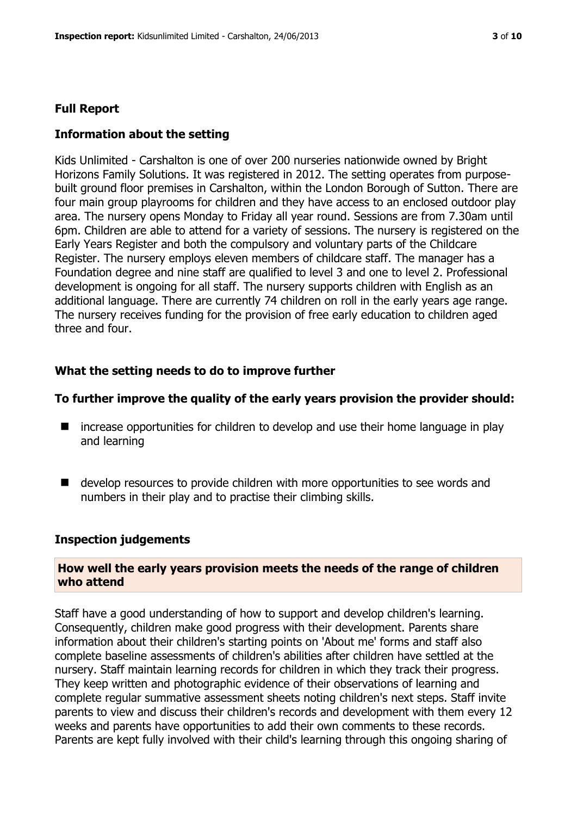# **Full Report**

# **Information about the setting**

Kids Unlimited - Carshalton is one of over 200 nurseries nationwide owned by Bright Horizons Family Solutions. It was registered in 2012. The setting operates from purposebuilt ground floor premises in Carshalton, within the London Borough of Sutton. There are four main group playrooms for children and they have access to an enclosed outdoor play area. The nursery opens Monday to Friday all year round. Sessions are from 7.30am until 6pm. Children are able to attend for a variety of sessions. The nursery is registered on the Early Years Register and both the compulsory and voluntary parts of the Childcare Register. The nursery employs eleven members of childcare staff. The manager has a Foundation degree and nine staff are qualified to level 3 and one to level 2. Professional development is ongoing for all staff. The nursery supports children with English as an additional language. There are currently 74 children on roll in the early years age range. The nursery receives funding for the provision of free early education to children aged three and four.

# **What the setting needs to do to improve further**

#### **To further improve the quality of the early years provision the provider should:**

- increase opportunities for children to develop and use their home language in play and learning
- develop resources to provide children with more opportunities to see words and numbers in their play and to practise their climbing skills.

#### **Inspection judgements**

#### **How well the early years provision meets the needs of the range of children who attend**

Staff have a good understanding of how to support and develop children's learning. Consequently, children make good progress with their development. Parents share information about their children's starting points on 'About me' forms and staff also complete baseline assessments of children's abilities after children have settled at the nursery. Staff maintain learning records for children in which they track their progress. They keep written and photographic evidence of their observations of learning and complete regular summative assessment sheets noting children's next steps. Staff invite parents to view and discuss their children's records and development with them every 12 weeks and parents have opportunities to add their own comments to these records. Parents are kept fully involved with their child's learning through this ongoing sharing of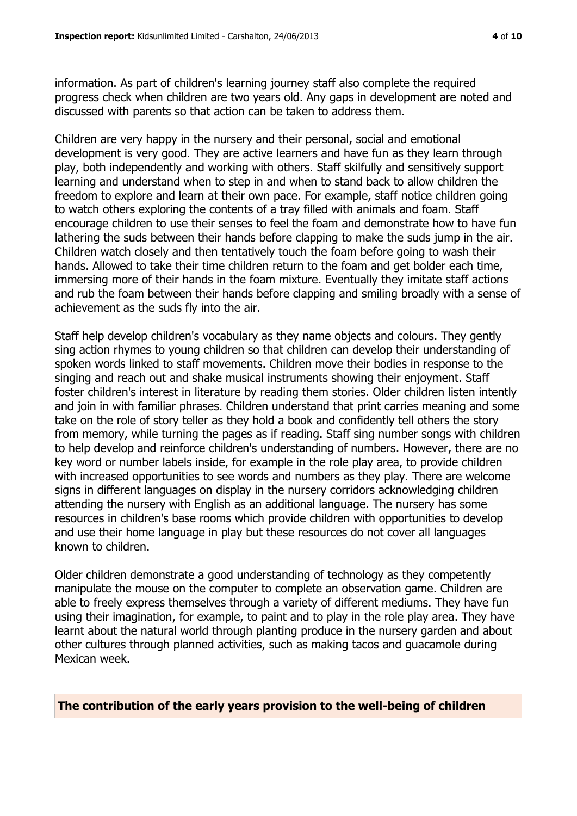information. As part of children's learning journey staff also complete the required progress check when children are two years old. Any gaps in development are noted and discussed with parents so that action can be taken to address them.

Children are very happy in the nursery and their personal, social and emotional development is very good. They are active learners and have fun as they learn through play, both independently and working with others. Staff skilfully and sensitively support learning and understand when to step in and when to stand back to allow children the freedom to explore and learn at their own pace. For example, staff notice children going to watch others exploring the contents of a tray filled with animals and foam. Staff encourage children to use their senses to feel the foam and demonstrate how to have fun lathering the suds between their hands before clapping to make the suds jump in the air. Children watch closely and then tentatively touch the foam before going to wash their hands. Allowed to take their time children return to the foam and get bolder each time, immersing more of their hands in the foam mixture. Eventually they imitate staff actions and rub the foam between their hands before clapping and smiling broadly with a sense of achievement as the suds fly into the air.

Staff help develop children's vocabulary as they name objects and colours. They gently sing action rhymes to young children so that children can develop their understanding of spoken words linked to staff movements. Children move their bodies in response to the singing and reach out and shake musical instruments showing their enjoyment. Staff foster children's interest in literature by reading them stories. Older children listen intently and join in with familiar phrases. Children understand that print carries meaning and some take on the role of story teller as they hold a book and confidently tell others the story from memory, while turning the pages as if reading. Staff sing number songs with children to help develop and reinforce children's understanding of numbers. However, there are no key word or number labels inside, for example in the role play area, to provide children with increased opportunities to see words and numbers as they play. There are welcome signs in different languages on display in the nursery corridors acknowledging children attending the nursery with English as an additional language. The nursery has some resources in children's base rooms which provide children with opportunities to develop and use their home language in play but these resources do not cover all languages known to children.

Older children demonstrate a good understanding of technology as they competently manipulate the mouse on the computer to complete an observation game. Children are able to freely express themselves through a variety of different mediums. They have fun using their imagination, for example, to paint and to play in the role play area. They have learnt about the natural world through planting produce in the nursery garden and about other cultures through planned activities, such as making tacos and guacamole during Mexican week.

**The contribution of the early years provision to the well-being of children**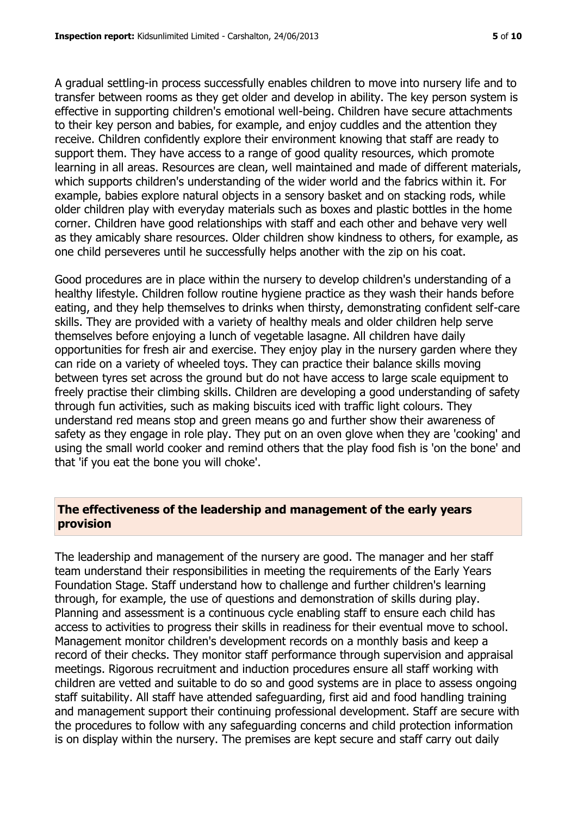A gradual settling-in process successfully enables children to move into nursery life and to transfer between rooms as they get older and develop in ability. The key person system is effective in supporting children's emotional well-being. Children have secure attachments to their key person and babies, for example, and enjoy cuddles and the attention they receive. Children confidently explore their environment knowing that staff are ready to support them. They have access to a range of good quality resources, which promote learning in all areas. Resources are clean, well maintained and made of different materials, which supports children's understanding of the wider world and the fabrics within it. For example, babies explore natural objects in a sensory basket and on stacking rods, while older children play with everyday materials such as boxes and plastic bottles in the home corner. Children have good relationships with staff and each other and behave very well as they amicably share resources. Older children show kindness to others, for example, as one child perseveres until he successfully helps another with the zip on his coat.

Good procedures are in place within the nursery to develop children's understanding of a healthy lifestyle. Children follow routine hygiene practice as they wash their hands before eating, and they help themselves to drinks when thirsty, demonstrating confident self-care skills. They are provided with a variety of healthy meals and older children help serve themselves before enjoying a lunch of vegetable lasagne. All children have daily opportunities for fresh air and exercise. They enjoy play in the nursery garden where they can ride on a variety of wheeled toys. They can practice their balance skills moving between tyres set across the ground but do not have access to large scale equipment to freely practise their climbing skills. Children are developing a good understanding of safety through fun activities, such as making biscuits iced with traffic light colours. They understand red means stop and green means go and further show their awareness of safety as they engage in role play. They put on an oven glove when they are 'cooking' and using the small world cooker and remind others that the play food fish is 'on the bone' and that 'if you eat the bone you will choke'.

# **The effectiveness of the leadership and management of the early years provision**

The leadership and management of the nursery are good. The manager and her staff team understand their responsibilities in meeting the requirements of the Early Years Foundation Stage. Staff understand how to challenge and further children's learning through, for example, the use of questions and demonstration of skills during play. Planning and assessment is a continuous cycle enabling staff to ensure each child has access to activities to progress their skills in readiness for their eventual move to school. Management monitor children's development records on a monthly basis and keep a record of their checks. They monitor staff performance through supervision and appraisal meetings. Rigorous recruitment and induction procedures ensure all staff working with children are vetted and suitable to do so and good systems are in place to assess ongoing staff suitability. All staff have attended safeguarding, first aid and food handling training and management support their continuing professional development. Staff are secure with the procedures to follow with any safeguarding concerns and child protection information is on display within the nursery. The premises are kept secure and staff carry out daily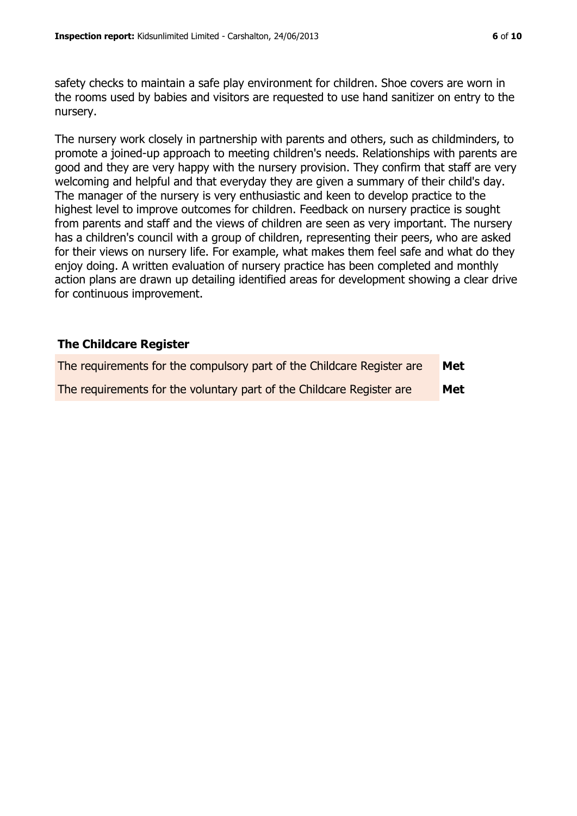safety checks to maintain a safe play environment for children. Shoe covers are worn in the rooms used by babies and visitors are requested to use hand sanitizer on entry to the nursery.

The nursery work closely in partnership with parents and others, such as childminders, to promote a joined-up approach to meeting children's needs. Relationships with parents are good and they are very happy with the nursery provision. They confirm that staff are very welcoming and helpful and that everyday they are given a summary of their child's day. The manager of the nursery is very enthusiastic and keen to develop practice to the highest level to improve outcomes for children. Feedback on nursery practice is sought from parents and staff and the views of children are seen as very important. The nursery has a children's council with a group of children, representing their peers, who are asked for their views on nursery life. For example, what makes them feel safe and what do they enjoy doing. A written evaluation of nursery practice has been completed and monthly action plans are drawn up detailing identified areas for development showing a clear drive for continuous improvement.

# **The Childcare Register**

| The requirements for the compulsory part of the Childcare Register are | Met |
|------------------------------------------------------------------------|-----|
| The requirements for the voluntary part of the Childcare Register are  | Met |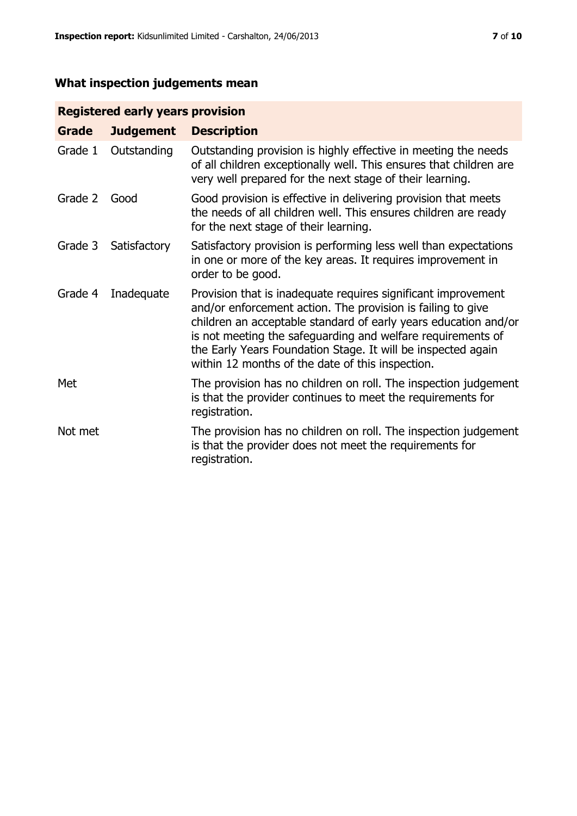# **What inspection judgements mean**

# **Registered early years provision**

| Grade   | <b>Judgement</b> | <b>Description</b>                                                                                                                                                                                                                                                                                                                                                                 |
|---------|------------------|------------------------------------------------------------------------------------------------------------------------------------------------------------------------------------------------------------------------------------------------------------------------------------------------------------------------------------------------------------------------------------|
| Grade 1 | Outstanding      | Outstanding provision is highly effective in meeting the needs<br>of all children exceptionally well. This ensures that children are<br>very well prepared for the next stage of their learning.                                                                                                                                                                                   |
| Grade 2 | Good             | Good provision is effective in delivering provision that meets<br>the needs of all children well. This ensures children are ready<br>for the next stage of their learning.                                                                                                                                                                                                         |
| Grade 3 | Satisfactory     | Satisfactory provision is performing less well than expectations<br>in one or more of the key areas. It requires improvement in<br>order to be good.                                                                                                                                                                                                                               |
| Grade 4 | Inadequate       | Provision that is inadequate requires significant improvement<br>and/or enforcement action. The provision is failing to give<br>children an acceptable standard of early years education and/or<br>is not meeting the safeguarding and welfare requirements of<br>the Early Years Foundation Stage. It will be inspected again<br>within 12 months of the date of this inspection. |
| Met     |                  | The provision has no children on roll. The inspection judgement<br>is that the provider continues to meet the requirements for<br>registration.                                                                                                                                                                                                                                    |
| Not met |                  | The provision has no children on roll. The inspection judgement<br>is that the provider does not meet the requirements for<br>registration.                                                                                                                                                                                                                                        |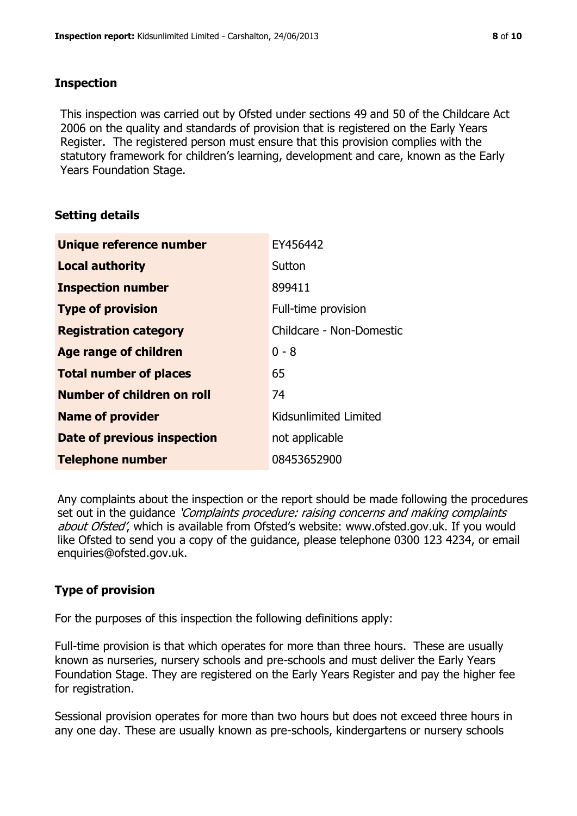# **Inspection**

This inspection was carried out by Ofsted under sections 49 and 50 of the Childcare Act 2006 on the quality and standards of provision that is registered on the Early Years Register. The registered person must ensure that this provision complies with the statutory framework for children's learning, development and care, known as the Early Years Foundation Stage.

# **Setting details**

| Unique reference number       | EY456442                 |
|-------------------------------|--------------------------|
| <b>Local authority</b>        | Sutton                   |
| <b>Inspection number</b>      | 899411                   |
| <b>Type of provision</b>      | Full-time provision      |
| <b>Registration category</b>  | Childcare - Non-Domestic |
| <b>Age range of children</b>  | $0 - 8$                  |
| <b>Total number of places</b> | 65                       |
| Number of children on roll    | 74                       |
| <b>Name of provider</b>       | Kidsunlimited Limited    |
| Date of previous inspection   | not applicable           |
| <b>Telephone number</b>       | 08453652900              |

Any complaints about the inspection or the report should be made following the procedures set out in the guidance *'Complaints procedure: raising concerns and making complaints* about Ofsted', which is available from Ofsted's website: www.ofsted.gov.uk. If you would like Ofsted to send you a copy of the guidance, please telephone 0300 123 4234, or email enquiries@ofsted.gov.uk.

# **Type of provision**

For the purposes of this inspection the following definitions apply:

Full-time provision is that which operates for more than three hours. These are usually known as nurseries, nursery schools and pre-schools and must deliver the Early Years Foundation Stage. They are registered on the Early Years Register and pay the higher fee for registration.

Sessional provision operates for more than two hours but does not exceed three hours in any one day. These are usually known as pre-schools, kindergartens or nursery schools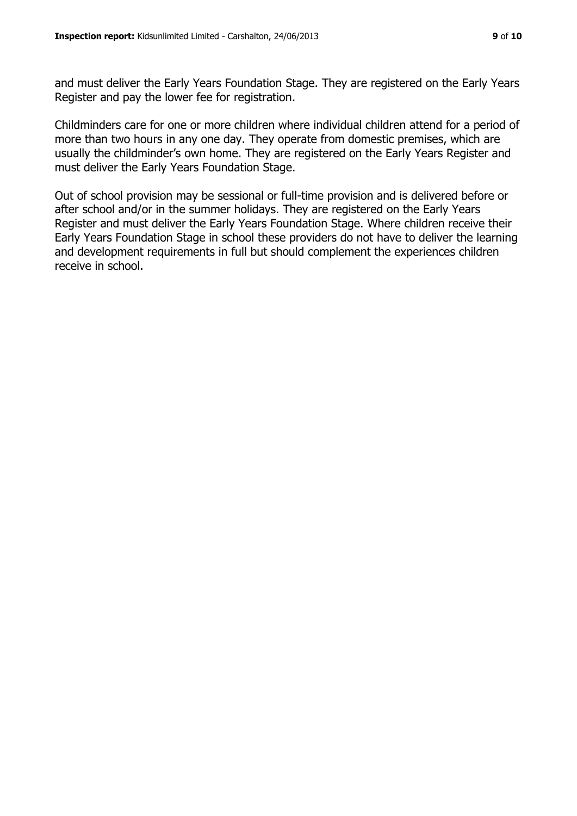and must deliver the Early Years Foundation Stage. They are registered on the Early Years Register and pay the lower fee for registration.

Childminders care for one or more children where individual children attend for a period of more than two hours in any one day. They operate from domestic premises, which are usually the childminder's own home. They are registered on the Early Years Register and must deliver the Early Years Foundation Stage.

Out of school provision may be sessional or full-time provision and is delivered before or after school and/or in the summer holidays. They are registered on the Early Years Register and must deliver the Early Years Foundation Stage. Where children receive their Early Years Foundation Stage in school these providers do not have to deliver the learning and development requirements in full but should complement the experiences children receive in school.